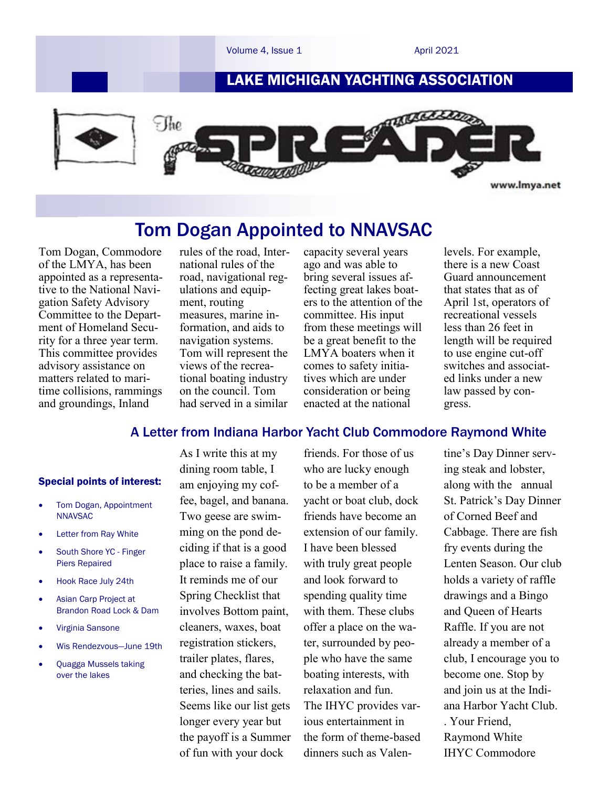

# Tom Dogan Appointed to NNAVSAC

Tom Dogan, Commodore of the LMYA, has been appointed as a representative to the National Navigation Safety Advisory Committee to the Department of Homeland Security for a three year term. This committee provides advisory assistance on matters related to maritime collisions, rammings and groundings, Inland

rules of the road, International rules of the road, navigational regulations and equipment, routing measures, marine information, and aids to navigation systems. Tom will represent the views of the recreational boating industry on the council. Tom had served in a similar

capacity several years ago and was able to bring several issues affecting great lakes boaters to the attention of the committee. His input from these meetings will be a great benefit to the LMYA boaters when it comes to safety initiatives which are under consideration or being enacted at the national

levels. For example, there is a new Coast Guard announcement that states that as of April 1st, operators of recreational vessels less than 26 feet in length will be required to use engine cut-off switches and associated links under a new law passed by congress.

## A Letter from Indiana Harbor Yacht Club Commodore Raymond White

#### Special points of interest:

- Tom Dogan, Appointment **NNAVSAC**
- Letter from Ray White
- South Shore YC Finger Piers Repaired
- Hook Race July 24th
- Asian Carp Project at Brandon Road Lock & Dam
- Virginia Sansone
- Wis Rendezvous—June 19th
- Quagga Mussels taking over the lakes

As I write this at my dining room table, I am enjoying my coffee, bagel, and banana. Two geese are swimming on the pond deciding if that is a good place to raise a family. It reminds me of our Spring Checklist that involves Bottom paint, cleaners, waxes, boat registration stickers, trailer plates, flares, and checking the batteries, lines and sails. Seems like our list gets longer every year but the payoff is a Summer of fun with your dock

friends. For those of us who are lucky enough to be a member of a yacht or boat club, dock friends have become an extension of our family. I have been blessed with truly great people and look forward to spending quality time with them. These clubs offer a place on the water, surrounded by people who have the same boating interests, with relaxation and fun. The IHYC provides various entertainment in the form of theme-based dinners such as Valen-

tine's Day Dinner serving steak and lobster, along with the annual St. Patrick's Day Dinner of Corned Beef and Cabbage. There are fish fry events during the Lenten Season. Our club holds a variety of raffle drawings and a Bingo and Queen of Hearts Raffle. If you are not already a member of a club, I encourage you to become one. Stop by and join us at the Indiana Harbor Yacht Club. . Your Friend, Raymond White IHYC Commodore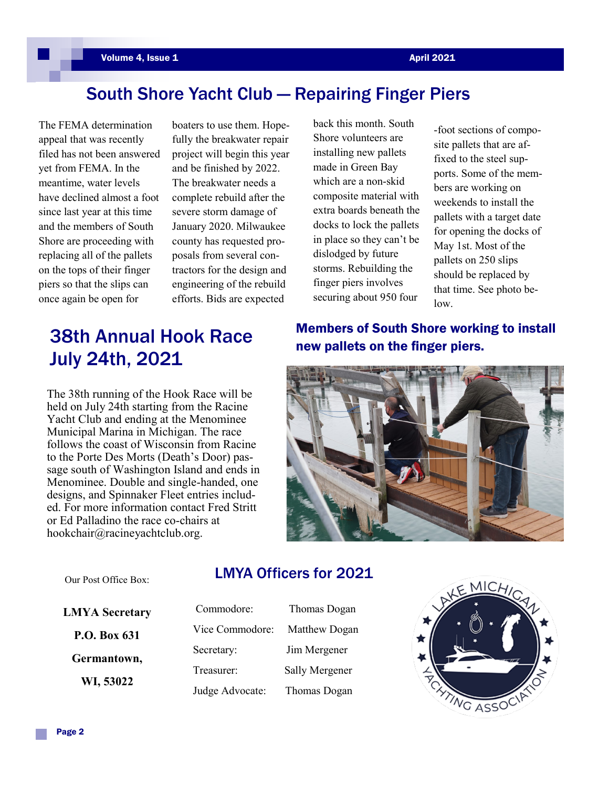# South Shore Yacht Club — Repairing Finger Piers

The FEMA determination appeal that was recently filed has not been answered yet from FEMA. In the meantime, water levels have declined almost a foot since last year at this time and the members of South Shore are proceeding with replacing all of the pallets on the tops of their finger piers so that the slips can once again be open for

boaters to use them. Hopefully the breakwater repair project will begin this year and be finished by 2022. The breakwater needs a complete rebuild after the severe storm damage of January 2020. Milwaukee county has requested proposals from several contractors for the design and engineering of the rebuild efforts. Bids are expected

# new pallets on the finger piers. 38th Annual Hook Race July 24th, 2021

The 38th running of the Hook Race will be held on July 24th starting from the Racine Yacht Club and ending at the Menominee Municipal Marina in Michigan. The race follows the coast of Wisconsin from Racine to the Porte Des Morts (Death's Door) passage south of Washington Island and ends in Menominee. Double and single-handed, one designs, and Spinnaker Fleet entries included. For more information contact Fred Stritt or Ed Palladino the race co-chairs at hookchair@racineyachtclub.org.

back this month. South Shore volunteers are installing new pallets made in Green Bay which are a non-skid composite material with extra boards beneath the docks to lock the pallets in place so they can't be dislodged by future storms. Rebuilding the finger piers involves securing about 950 four

-foot sections of composite pallets that are affixed to the steel supports. Some of the members are working on weekends to install the pallets with a target date for opening the docks of May 1st. Most of the pallets on 250 slips should be replaced by that time. See photo below.

Members of South Shore working to install



Our Post Office Box:

## LMYA Officers for 2021

**LMYA Secretary P.O. Box 631 Germantown, WI, 53022**

| Commodore:      | Thomas Dogan   |
|-----------------|----------------|
| Vice Commodore: | Matthew Dogan  |
| Secretary:      | Jim Mergener   |
| Treasurer:      | Sally Mergener |
| Judge Advocate: | Thomas Dogan   |